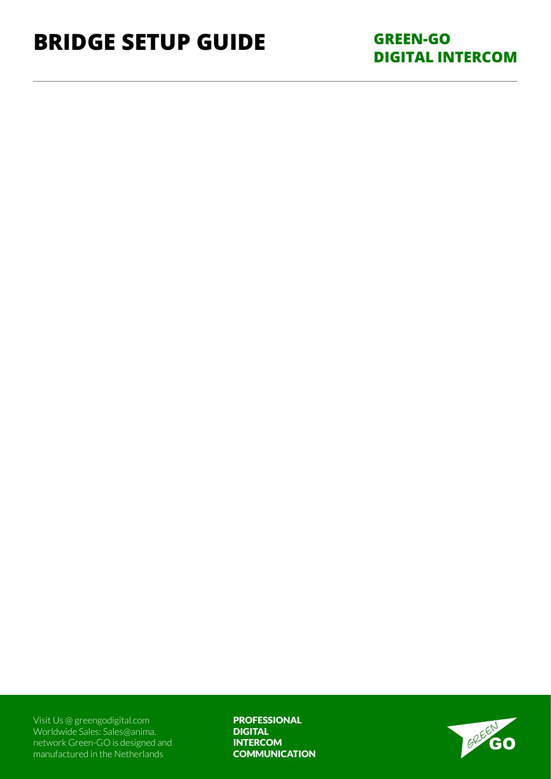## **Bridge setup Guide**

**GREEN-GO DIGITAL INTERCOM**

Visit Us @ [greengodigital.com](https://www.greengodigital.com)  Worldwide Sales: [Sales@anima.](mailto:Sales%40anima.network%20?subject=) [network G](mailto:Sales%40anima.network%20?subject=)reen-GO is designed and manufactured in the Netherlands

PROFESSIONAL DIGITAL **INTERCOM COMMUNICATION** 

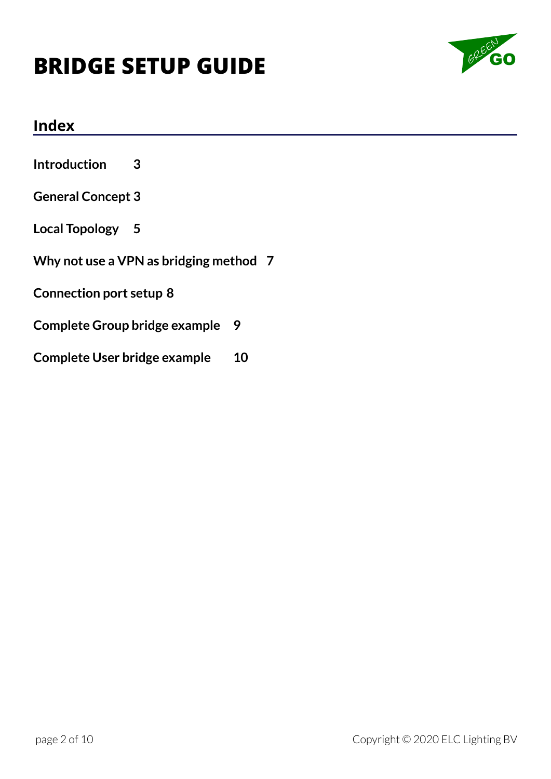

#### **Index**

**[Introduction](#page-2-0) 3**

#### **[General Concept](#page-2-0) 3**

**[Local Topology](#page-4-0) 5**

**[Why not use a VPN as bridging method](#page-6-0) 7**

**[Connection port setup](#page-7-0) 8**

**[Complete Group bridge example](#page-8-0) 9**

**[Complete User bridge example](#page-9-0) 10**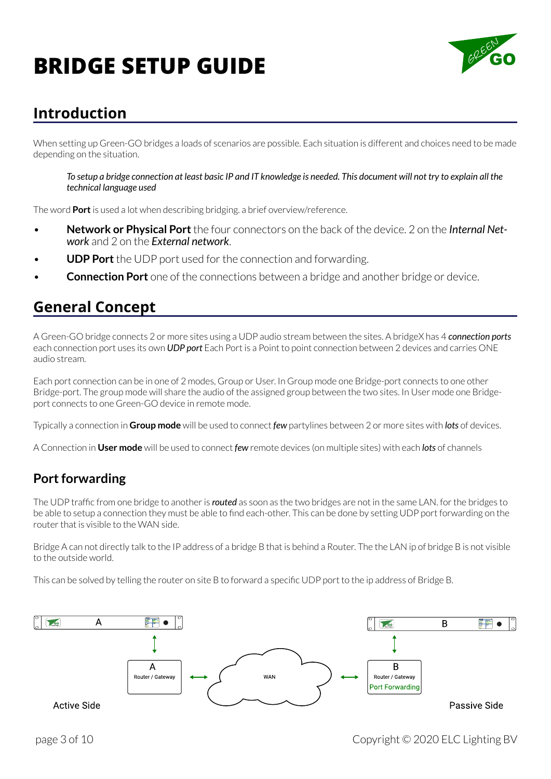

### <span id="page-2-0"></span>**Introduction**

When setting up Green-GO bridges a loads of scenarios are possible. Each situation is different and choices need to be made depending on the situation.

*To setup a bridge connection at least basic IP and IT knowledge is needed. This document will not try to explain all the technical language used*

The word **Port** is used a lot when describing bridging. a brief overview/reference.

- **Network or Physical Port** the four connectors on the back of the device. 2 on the *Internal Network* and 2 on the *External network*.
- **UDP Port** the UDP port used for the connection and forwarding.
- **Connection Port** one of the connections between a bridge and another bridge or device.

### **General Concept**

A Green-GO bridge connects 2 or more sites using a UDP audio stream between the sites. A bridgeX has 4 *connection ports* each connection port uses its own *UDP port* Each Port is a Point to point connection between 2 devices and carries ONE audio stream.

Each port connection can be in one of 2 modes, Group or User. In Group mode one Bridge-port connects to one other Bridge-port. The group mode will share the audio of the assigned group between the two sites. In User mode one Bridgeport connects to one Green-GO device in remote mode.

Typically a connection in **Group mode** will be used to connect *few* partylines between 2 or more sites with *lots* of devices.

A Connection in **User mode** will be used to connect *few* remote devices (on multiple sites) with each *lots* of channels

#### **Port forwarding**

The UDP traffic from one bridge to another is *routed* as soon as the two bridges are not in the same LAN. for the bridges to be able to setup a connection they must be able to find each-other. This can be done by setting UDP port forwarding on the router that is visible to the WAN side.

Bridge A can not directly talk to the IP address of a bridge B that is behind a Router. The the LAN ip of bridge B is not visible to the outside world.

This can be solved by telling the router on site B to forward a specific UDP port to the ip address of Bridge B.

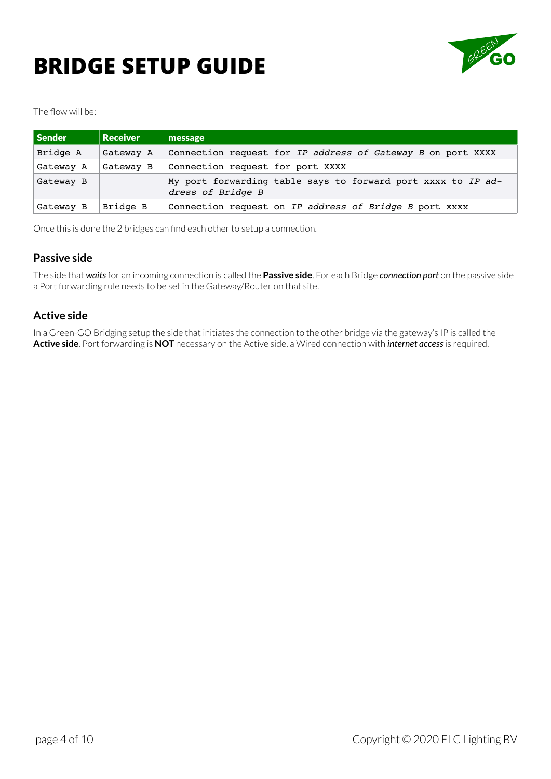# **BRIDGE SETUP GUIDE GOOGLERY**



The flow will be:

| Sender    | <b>Receiver</b> | message                                                                           |
|-----------|-----------------|-----------------------------------------------------------------------------------|
| Bridge A  | Gateway A       | Connection request for IP address of Gateway B on port XXXX                       |
| Gateway A | Gateway B       | Connection request for port XXXX                                                  |
| Gateway B |                 | My port forwarding table says to forward port xxxx to IP ad-<br>dress of Bridge B |
| Gateway B | Bridge B        | Connection request on IP address of Bridge B port XXXX                            |

Once this is done the 2 bridges can find each other to setup a connection.

#### **Passive side**

The side that *waits* for an incoming connection is called the **Passive side**. For each Bridge *connection port* on the passive side a Port forwarding rule needs to be set in the Gateway/Router on that site.

#### **Active side**

In a Green-GO Bridging setup the side that initiates the connection to the other bridge via the gateway's IP is called the **Active side**. Port forwarding is **NOT** necessary on the Active side. a Wired connection with *internet access* is required.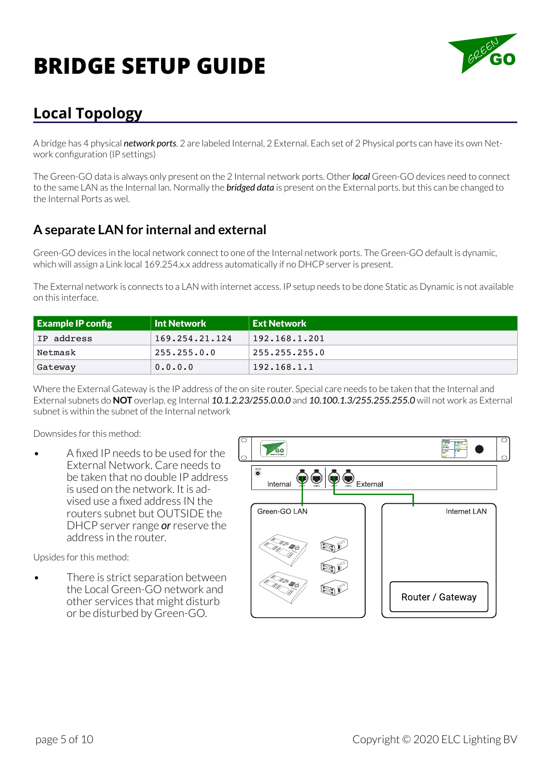

## <span id="page-4-0"></span>**Local Topology**

A bridge has 4 physical *network ports*. 2 are labeled Internal, 2 External. Each set of 2 Physical ports can have its own Network configuration (IP settings)

The Green-GO data is always only present on the 2 Internal network ports. Other *local* Green-GO devices need to connect to the same LAN as the Internal lan. Normally the *bridged data* is present on the External ports. but this can be changed to the Internal Ports as wel.

#### **A separate LAN for internal and external**

Green-GO devices in the local network connect to one of the Internal network ports. The Green-GO default is dynamic, which will assign a Link local 169.254.x.x address automatically if no DHCP server is present.

The External network is connects to a LAN with internet access. IP setup needs to be done Static as Dynamic is not available on this interface.

| $\blacksquare$ Example IP config | <b>Int Network</b> | <b>Ext Network</b> |
|----------------------------------|--------------------|--------------------|
| IP address                       | 169.254.21.124     | 192.168.1.201      |
| Netmask                          | 255.255.0.0        | 255.255.255.0      |
| Gateway                          | 0.0.0.0            | 192.168.1.1        |

Where the External Gateway is the IP address of the on site router. Special care needs to be taken that the Internal and External subnets do **NOT** overlap. eg Internal *10.1.2.23/255.0.0.0* and *10.100.1.3/255.255.255.0* will not work as External subnet is within the subnet of the Internal network

#### Downsides for this method:

• A fixed IP needs to be used for the External Network. Care needs to be taken that no double IP address is used on the network. It is advised use a fixed address IN the routers subnet but OUTSIDE the DHCP server range *or* reserve the address in the router.

Upsides for this method:

There is strict separation between the Local Green-GO network and other services that might disturb or be disturbed by Green-GO.

| C | c٥<br>Network BridgeX                                                                                  | BridgeX<br>1: Group<br>1: ALL<br>2: Group<br>In Show Cut<br><b>OVEAUL</b><br>$\frac{3}{10}$ and $\frac{1}{10}$<br>4:00<br><b>HALL</b> | $\bigcirc$<br>O |
|---|--------------------------------------------------------------------------------------------------------|---------------------------------------------------------------------------------------------------------------------------------------|-----------------|
|   | $\bigotimes^{\hspace{-2.1mm}\text{\tiny{d}}\hspace{-2.1mm}\mathbb{Z}}$<br>Internal<br>$\overline{140}$ | External                                                                                                                              |                 |
|   | Green-GO LAN                                                                                           | Internet LAN                                                                                                                          |                 |
|   | $\mathcal{O}^{\circ}$<br><b>BOWS</b><br>18 <sub>87</sub>                                               |                                                                                                                                       |                 |
|   | 多甲烷<br>°°,<br>13 S.,                                                                                   | Router / Gateway                                                                                                                      |                 |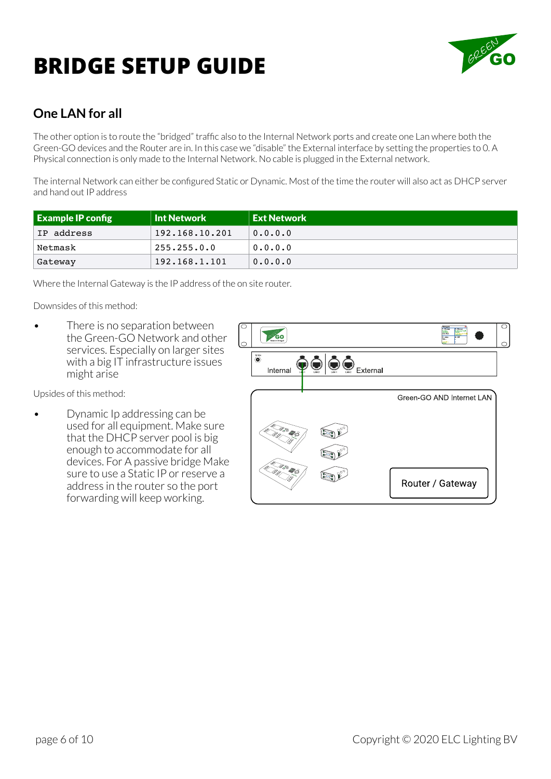

### **One LAN for all**

The other option is to route the "bridged" traffic also to the Internal Network ports and create one Lan where both the Green-GO devices and the Router are in. In this case we "disable" the External interface by setting the properties to 0. A Physical connection is only made to the Internal Network. No cable is plugged in the External network.

The internal Network can either be configured Static or Dynamic. Most of the time the router will also act as DHCP server and hand out IP address

| <b>Example IP config</b> | <b>Int Network</b> | <b>Ext Network</b> |
|--------------------------|--------------------|--------------------|
| IP address               | 192.168.10.201     | 0.0.0.0            |
| Netmask                  | 255.255.0.0        | 0.0.0.0            |
| Gateway                  | 192.168.1.101      | 0.0.0.0            |

Where the Internal Gateway is the IP address of the on site router.

Downsides of this method:

There is no separation between the Green-GO Network and other services. Especially on larger sites with a big IT infrastructure issues might arise

Upsides of this method:

• Dynamic Ip addressing can be used for all equipment. Make sure that the DHCP server pool is big enough to accommodate for all devices. For A passive bridge Make sure to use a Static IP or reserve a address in the router so the port forwarding will keep working.

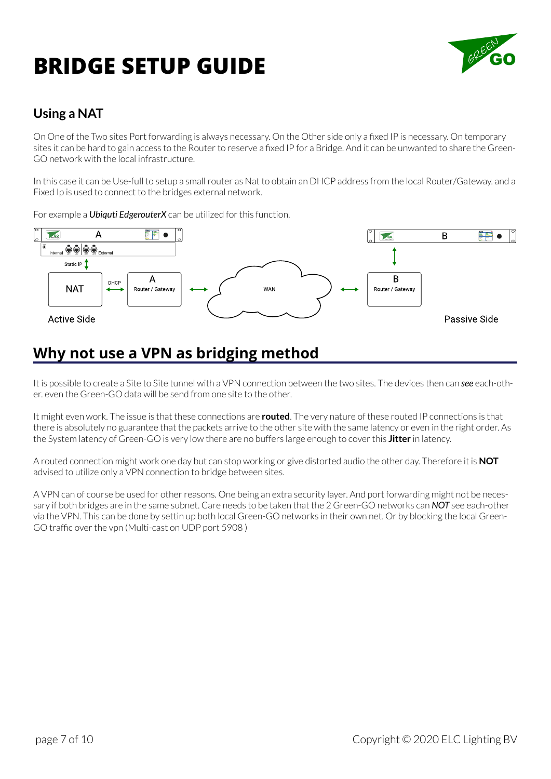

### <span id="page-6-0"></span>**Using a NAT**

On One of the Two sites Port forwarding is always necessary. On the Other side only a fixed IP is necessary. On temporary sites it can be hard to gain access to the Router to reserve a fixed IP for a Bridge. And it can be unwanted to share the Green-GO network with the local infrastructure.

In this case it can be Use-full to setup a small router as Nat to obtain an DHCP address from the local Router/Gateway. and a Fixed Ip is used to connect to the bridges external network.

For example a *Ubiquti EdgerouterX* can be utilized for this function.



### **Why not use a VPN as bridging method**

It is possible to create a Site to Site tunnel with a VPN connection between the two sites. The devices then can *see* each-other. even the Green-GO data will be send from one site to the other.

It might even work. The issue is that these connections are **routed**. The very nature of these routed IP connections is that there is absolutely no guarantee that the packets arrive to the other site with the same latency or even in the right order. As the System latency of Green-GO is very low there are no buffers large enough to cover this **Jitter** in latency.

A routed connection might work one day but can stop working or give distorted audio the other day. Therefore it is **NOT** advised to utilize only a VPN connection to bridge between sites.

A VPN can of course be used for other reasons. One being an extra security layer. And port forwarding might not be necessary if both bridges are in the same subnet. Care needs to be taken that the 2 Green-GO networks can *NOT* see each-other via the VPN. This can be done by settin up both local Green-GO networks in their own net. Or by blocking the local Green-GO traffic over the vpn (Multi-cast on UDP port 5908 )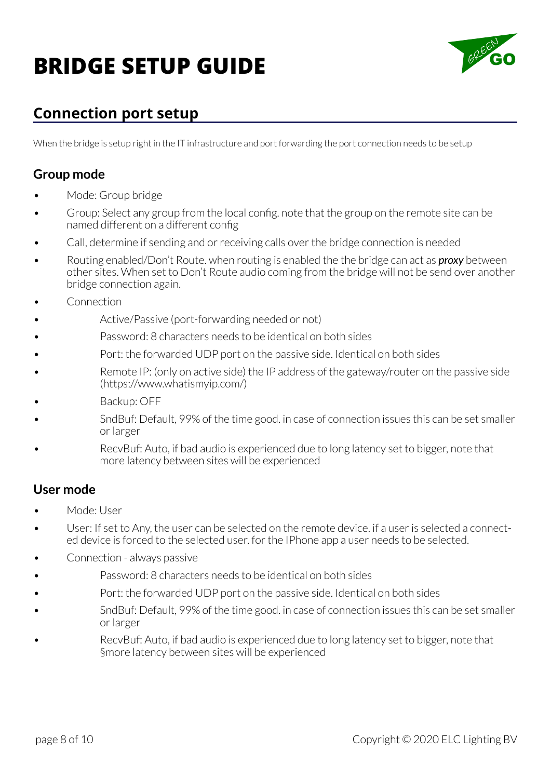

## <span id="page-7-0"></span>**Connection port setup**

When the bridge is setup right in the IT infrastructure and port forwarding the port connection needs to be setup

#### **Group mode**

- Mode: Group bridge
- Group: Select any group from the local config. note that the group on the remote site can be named different on a different config
- Call, determine if sending and or receiving calls over the bridge connection is needed
- Routing enabled/Don't Route. when routing is enabled the the bridge can act as *proxy* between other sites. When set to Don't Route audio coming from the bridge will not be send over another bridge connection again.
- **Connection**
- Active/Passive (port-forwarding needed or not)
- Password: 8 characters needs to be identical on both sides
- Port: the forwarded UDP port on the passive side. Identical on both sides
- Remote IP: (only on active side) the IP address of the gateway/router on the passive side (https://www.whatismyip.com/)
- Backup: OFF
- SndBuf: Default, 99% of the time good. in case of connection issues this can be set smaller or larger
- RecvBuf: Auto, if bad audio is experienced due to long latency set to bigger, note that more latency between sites will be experienced

#### **User mode**

- Mode: User
- User: If set to Any, the user can be selected on the remote device. if a user is selected a connected device is forced to the selected user. for the IPhone app a user needs to be selected.
- Connection always passive
- Password: 8 characters needs to be identical on both sides
- Port: the forwarded UDP port on the passive side. Identical on both sides
- SndBuf: Default, 99% of the time good. in case of connection issues this can be set smaller or larger
- RecvBuf: Auto, if bad audio is experienced due to long latency set to bigger, note that §more latency between sites will be experienced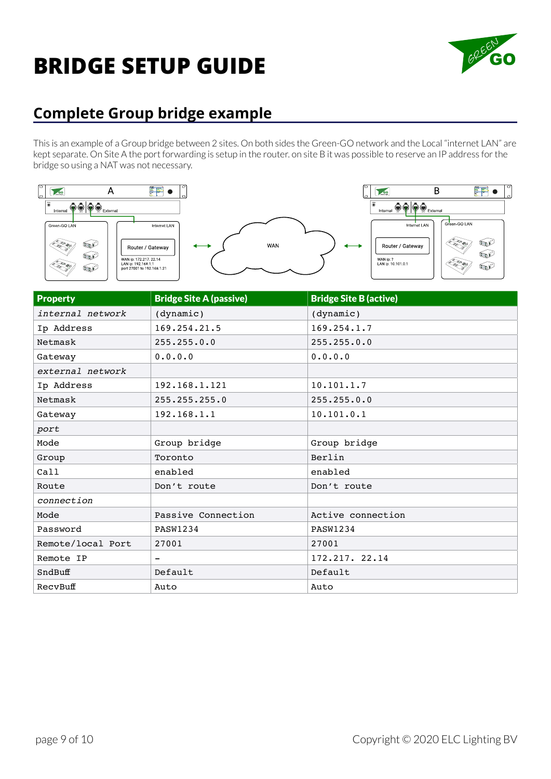

## <span id="page-8-0"></span>**Complete Group bridge example**

This is an example of a Group bridge between 2 sites. On both sides the Green-GO network and the Local "internet LAN" are kept separate. On Site A the port forwarding is setup in the router. on site B it was possible to reserve an IP address for the bridge so using a NAT was not necessary.



| <b>Property</b>   | <b>Bridge Site A (passive)</b> | <b>Bridge Site B (active)</b> |
|-------------------|--------------------------------|-------------------------------|
| internal network  | (dynamic)                      | (dynamic)                     |
| Ip Address        | 169.254.21.5                   | 169.254.1.7                   |
| Netmask           | 255.255.0.0                    | 255.255.0.0                   |
| Gateway           | 0.0.0.0                        | 0.0.0.0                       |
| external network  |                                |                               |
| Ip Address        | 192.168.1.121                  | 10.101.1.7                    |
| Netmask           | 255.255.255.0                  | 255.255.0.0                   |
| Gateway           | 192.168.1.1                    | 10.101.0.1                    |
| port              |                                |                               |
| Mode              | Group bridge                   | Group bridge                  |
| Group             | Toronto                        | Berlin                        |
| Call              | enabled                        | enabled                       |
| Route             | Don't route                    | Don't route                   |
| connection        |                                |                               |
| Mode              | Passive Connection             | Active connection             |
| Password          | <b>PASW1234</b>                | <b>PASW1234</b>               |
| Remote/local Port | 27001                          | 27001                         |
| Remote IP         | $\qquad \qquad -$              | 172.217. 22.14                |
| SndBuff           | Default                        | Default                       |
| RecvBuff          | Auto                           | Auto                          |